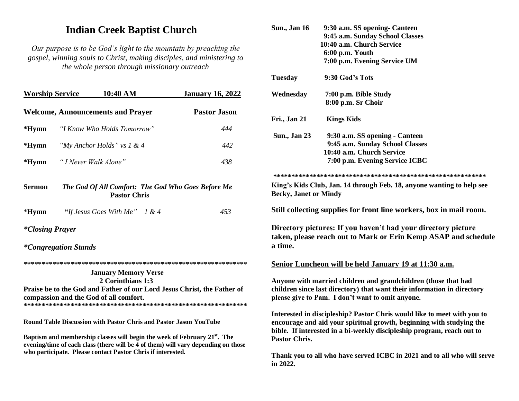# **Indian Creek Baptist Church**

Our purpose is to be God's light to the mountain by preaching the gospel, winning souls to Christ, making disciples, and ministering to the whole person through missionary outreach

| <b>Worship Service</b>                                                                                                                                                                                                                    |                             | $10:40~\mathrm{AM}$                      |  | <b>January 16, 2022</b> |
|-------------------------------------------------------------------------------------------------------------------------------------------------------------------------------------------------------------------------------------------|-----------------------------|------------------------------------------|--|-------------------------|
|                                                                                                                                                                                                                                           |                             | <b>Welcome, Announcements and Prayer</b> |  | <b>Pastor Jason</b>     |
| $*Hymn$                                                                                                                                                                                                                                   | "I Know Who Holds Tomorrow" |                                          |  | 444                     |
| $*Hymn$                                                                                                                                                                                                                                   |                             | "My Anchor Holds" vs $1 & 4$             |  | 442                     |
| $*Hymn$                                                                                                                                                                                                                                   |                             | "I Never Walk Alone"                     |  | 438                     |
| The God Of All Comfort: The God Who Goes Before Me<br><b>Sermon</b><br><b>Pastor Chris</b>                                                                                                                                                |                             |                                          |  |                         |
| $*Hymn$                                                                                                                                                                                                                                   |                             | "If Jesus Goes With Me" $1 & 4$          |  | 453                     |
| <i>*Closing Prayer</i>                                                                                                                                                                                                                    |                             |                                          |  |                         |
|                                                                                                                                                                                                                                           | <i>*Congregation Stands</i> |                                          |  |                         |
|                                                                                                                                                                                                                                           |                             |                                          |  |                         |
|                                                                                                                                                                                                                                           |                             | <b>January Memory Verse</b>              |  |                         |
| 2 Corinthians 1:3<br>Praise be to the God and Father of our Lord Jesus Christ, the Father of<br>compassion and the God of all comfort.                                                                                                    |                             |                                          |  |                         |
| <b>Round Table Discussion with Pastor Chris and Pastor Jason YouTube</b>                                                                                                                                                                  |                             |                                          |  |                         |
| Baptism and membership classes will begin the week of February 21 <sup>st</sup> . The<br>evening/time of each class (there will be 4 of them) will vary depending on those<br>who participate. Please contact Pastor Chris if interested. |                             |                                          |  |                         |

| <b>Sun., Jan 16</b>          | 9:30 a.m. SS opening- Canteen                                                                                                                                                                                             |
|------------------------------|---------------------------------------------------------------------------------------------------------------------------------------------------------------------------------------------------------------------------|
|                              | 9:45 a.m. Sunday School Classes                                                                                                                                                                                           |
|                              | 10:40 a.m. Church Service                                                                                                                                                                                                 |
|                              | 6:00 p.m. Youth                                                                                                                                                                                                           |
|                              | 7:00 p.m. Evening Service UM                                                                                                                                                                                              |
| <b>Tuesday</b>               | 9:30 God's Tots                                                                                                                                                                                                           |
| Wednesday                    | 7:00 p.m. Bible Study                                                                                                                                                                                                     |
|                              | 8:00 p.m. Sr Choir                                                                                                                                                                                                        |
| Fri., Jan 21                 | <b>Kings Kids</b>                                                                                                                                                                                                         |
| <b>Sun., Jan 23</b>          | 9:30 a.m. SS opening - Canteen                                                                                                                                                                                            |
|                              | 9:45 a.m. Sunday School Classes                                                                                                                                                                                           |
|                              | 10:40 a.m. Church Service                                                                                                                                                                                                 |
|                              | 7:00 p.m. Evening Service ICBC                                                                                                                                                                                            |
|                              |                                                                                                                                                                                                                           |
| <b>Becky, Janet or Mindy</b> | King's Kids Club, Jan. 14 through Feb. 18, anyone wanting to help see                                                                                                                                                     |
|                              | Still collecting supplies for front line workers, box in mail room.                                                                                                                                                       |
| a time.                      | Directory pictures: If you haven't had your directory picture<br>taken, please reach out to Mark or Erin Kemp ASAP and schedule                                                                                           |
|                              | Senior Luncheon will be held January 19 at 11:30 a.m.                                                                                                                                                                     |
|                              | Anyone with married children and grandchildren (those that had<br>children since last directory) that want their information in directory<br>please give to Pam. I don't want to omit anyone.                             |
| Pastor Chris.                | Interested in discipleship? Pastor Chris would like to meet with you to<br>encourage and aid your spiritual growth, beginning with studying the<br>bible. If interested in a bi-weekly discipleship program, reach out to |
| in 2022.                     | Thank you to all who have served ICBC in 2021 and to all who will serve                                                                                                                                                   |